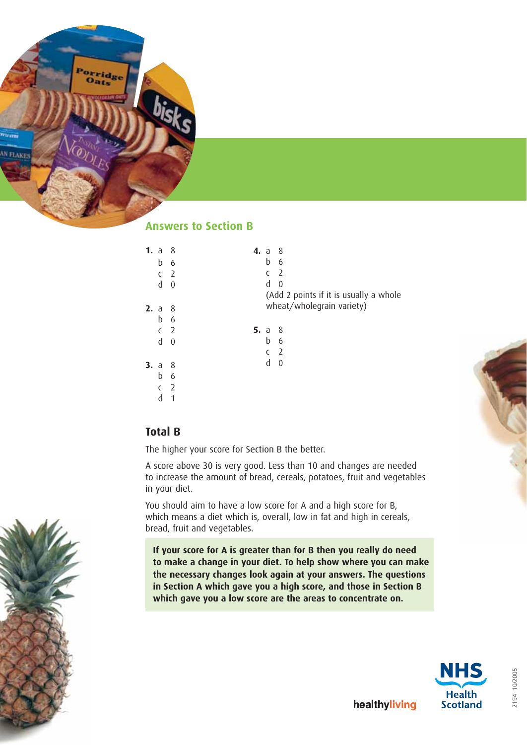

# **Answers to Section B**

| 1. a |                | -8             | <b>4.</b> a 8                          |
|------|----------------|----------------|----------------------------------------|
|      | b              | 6              | b<br>6                                 |
|      | C              | $\overline{2}$ | c <sub>2</sub>                         |
|      | d              | $\mathbf 0$    | d<br>$\theta$                          |
|      |                |                | (Add 2 points if it is usually a whole |
| 2. a |                | - 8            | wheat/wholegrain variety)              |
|      | b              | 6              |                                        |
|      | c <sub>2</sub> |                | 5. $a$ 8                               |
|      | d              | $\theta$       | b<br>6                                 |
|      |                |                | c <sub>2</sub>                         |
| 3. a |                | - 8            | d<br>0                                 |
|      | b              | 6              |                                        |
|      | C              | $\overline{2}$ |                                        |
|      | d              | 1              |                                        |



The higher your score for Section B the better.

A score above 30 is very good. Less than 10 and changes are needed to increase the amount of bread, cereals, potatoes, fruit and vegetables in your diet.

You should aim to have a low score for A and a high score for B, which means a diet which is, overall, low in fat and high in cereals, bread, fruit and vegetables.

**If your score for A is greater than for B then you really do need to make a change in your diet. To help show where you can make the necessary changes look again at your answers. The questions in Section A which gave you a high score, and those in Section B which gave you a low score are the areas to concentrate on.**



2194 10/2005

2194 10/2005



healthyliving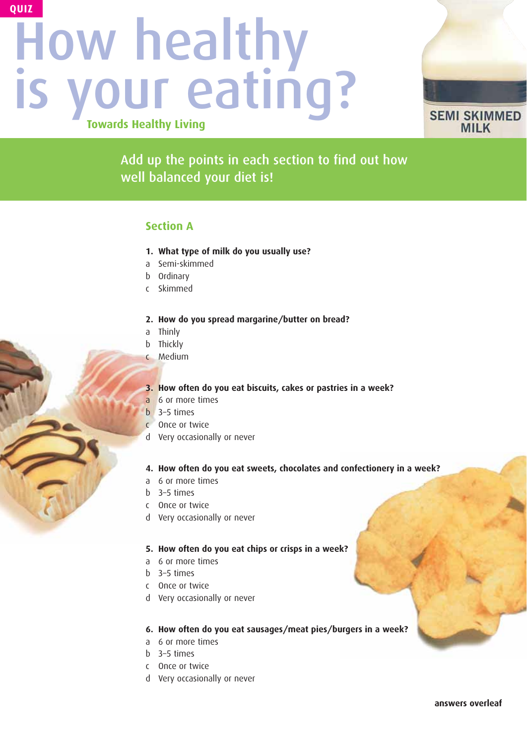# How healthy is your eating? **Towards Healthy Living QUIZ**



Add up the points in each section to find out how well balanced your diet is!

## **Section A**

- **1. What type of milk do you usually use?**
- a Semi-skimmed
- b Ordinary
- c Skimmed

## **2. How do you spread margarine/butter on bread?**

- a Thinly
- b Thickly
- c Medium

## **3. How often do you eat biscuits, cakes or pastries in a week?**

- a 6 or more times
- b 3–5 times
- c Once or twice
- d Very occasionally or never

## **4. How often do you eat sweets, chocolates and confectionery in a week?**

- a 6 or more times
- b 3–5 times
- c Once or twice
- d Very occasionally or never

## **5. How often do you eat chips or crisps in a week?**

- a 6 or more times
- b 3–5 times
- c Once or twice
- d Very occasionally or never

## **6. How often do you eat sausages/meat pies/burgers in a week?**

- a 6 or more times
- b 3–5 times
- c Once or twice
- d Very occasionally or never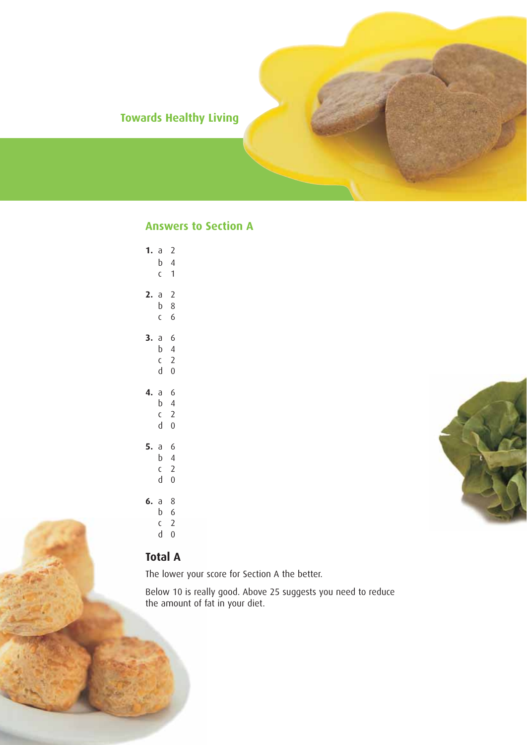# **Towards Healthy Living**

# **Answers to Section A**

| 1. a | b<br>C                                 | $\overline{c}$<br>$\overline{4}$<br>1                   |  |
|------|----------------------------------------|---------------------------------------------------------|--|
| 2.   | $\partial$<br>b<br>$\mathsf{C}$        | $\overline{2}$<br>$\,8\,$<br>6                          |  |
| 3.   | $\mathsf d$<br>b<br>C<br>þ             | 6<br>$\overline{4}$<br>$\overline{2}$<br>$\overline{0}$ |  |
| 4. a | b<br>$\mathsf{C}$<br>þ                 | 6<br>$\overline{4}$<br>$\overline{c}$<br>$\overline{0}$ |  |
| 5.   | $\mathsf{a}$<br>b<br>$\mathsf{C}$<br>d | 6<br>$\overline{4}$<br>$\overline{2}$<br>$\overline{0}$ |  |
|      | 6. a $8$<br>b<br>$\sim$                | $\sqrt{6}$<br>C.                                        |  |

 $c<sub>2</sub>$ d 0

# **Total A**

The lower your score for Section A the better.

Below 10 is really good. Above 25 suggests you need to reduce the amount of fat in your diet.